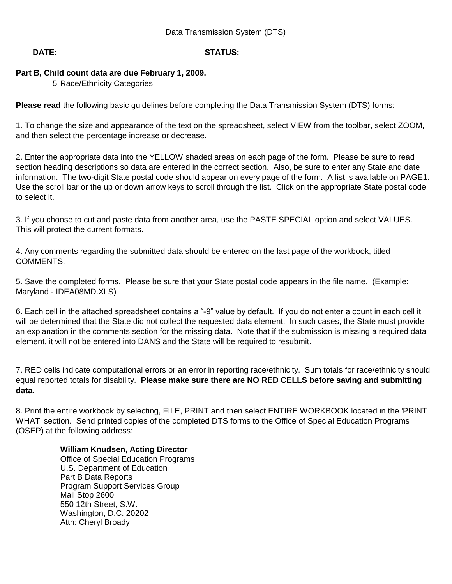# **DATE: STATUS:**

# **Part B, Child count data are due February 1, 2009.**

5 Race/Ethnicity Categories

**Please read** the following basic guidelines before completing the Data Transmission System (DTS) forms:

1. To change the size and appearance of the text on the spreadsheet, select VIEW from the toolbar, select ZOOM, and then select the percentage increase or decrease.

2. Enter the appropriate data into the YELLOW shaded areas on each page of the form. Please be sure to read section heading descriptions so data are entered in the correct section. Also, be sure to enter any State and date information. The two-digit State postal code should appear on every page of the form. A list is available on PAGE1. Use the scroll bar or the up or down arrow keys to scroll through the list. Click on the appropriate State postal code to select it.

3. If you choose to cut and paste data from another area, use the PASTE SPECIAL option and select VALUES. This will protect the current formats.

4. Any comments regarding the submitted data should be entered on the last page of the workbook, titled COMMENTS.

5. Save the completed forms. Please be sure that your State postal code appears in the file name. (Example: Maryland - IDEA08MD.XLS)

6. Each cell in the attached spreadsheet contains a "-9" value by default. If you do not enter a count in each cell it will be determined that the State did not collect the requested data element. In such cases, the State must provide an explanation in the comments section for the missing data. Note that if the submission is missing a required data element, it will not be entered into DANS and the State will be required to resubmit.

7. RED cells indicate computational errors or an error in reporting race/ethnicity. Sum totals for race/ethnicity should equal reported totals for disability. **Please make sure there are NO RED CELLS before saving and submitting data.** 

8. Print the entire workbook by selecting, FILE, PRINT and then select ENTIRE WORKBOOK located in the 'PRINT WHAT' section. Send printed copies of the completed DTS forms to the Office of Special Education Programs (OSEP) at the following address:

## **William Knudsen, Acting Director**

Office of Special Education Programs U.S. Department of Education Part B Data Reports Program Support Services Group Mail Stop 2600 550 12th Street, S.W. Washington, D.C. 20202 Attn: Cheryl Broady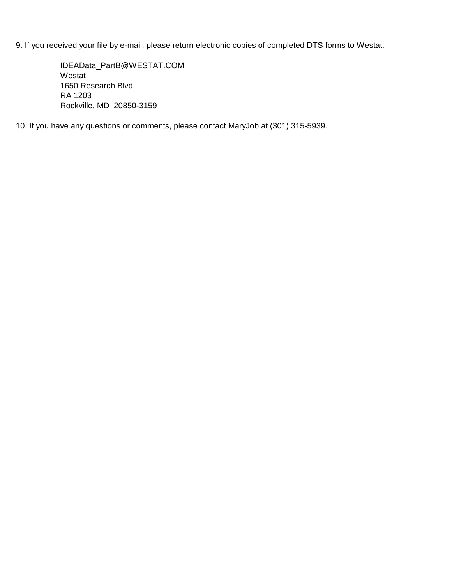9. If you received your file by e-mail, please return electronic copies of completed DTS forms to Westat.

IDEAData\_PartB@WESTAT.COM Westat 1650 Research Blvd. RA 1203 Rockville, MD 20850-3159

10. If you have any questions or comments, please contact MaryJob at (301) 315-5939.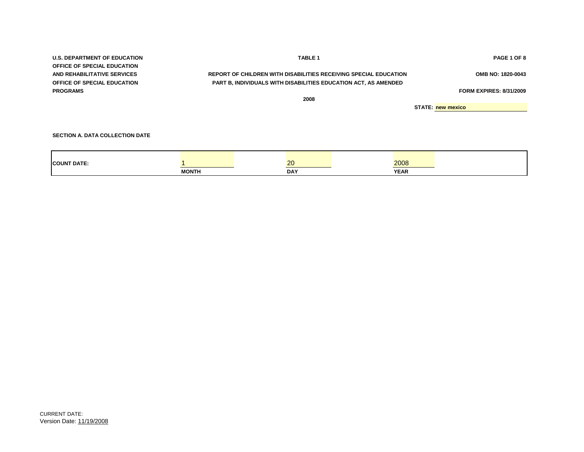| <b>U.S. DEPARTMENT OF EDUCATION</b>    | <b>TABLE 1</b>                                                         |      | PAGE 1 OF 8                    |
|----------------------------------------|------------------------------------------------------------------------|------|--------------------------------|
| <b>OFFICE OF SPECIAL EDUCATION</b>     |                                                                        |      |                                |
| AND REHABILITATIVE SERVICES            | REPORT OF CHILDREN WITH DISABILITIES RECEIVING SPECIAL EDUCATION       |      | OMB NO: 1820-0043              |
| <b>OFFICE OF SPECIAL EDUCATION</b>     | <b>PART B, INDIVIDUALS WITH DISABILITIES EDUCATION ACT, AS AMENDED</b> |      |                                |
| <b>PROGRAMS</b>                        |                                                                        |      | <b>FORM EXPIRES: 8/31/2009</b> |
|                                        | 2008                                                                   |      |                                |
|                                        |                                                                        |      | <b>STATE: new mexico</b>       |
|                                        |                                                                        |      |                                |
|                                        |                                                                        |      |                                |
| <b>SECTION A. DATA COLLECTION DATE</b> |                                                                        |      |                                |
|                                        |                                                                        |      |                                |
|                                        |                                                                        |      |                                |
|                                        |                                                                        |      |                                |
| <b>ICOUNT DATE:</b>                    | 20                                                                     | 2008 |                                |

**MONTH DAY YEAR**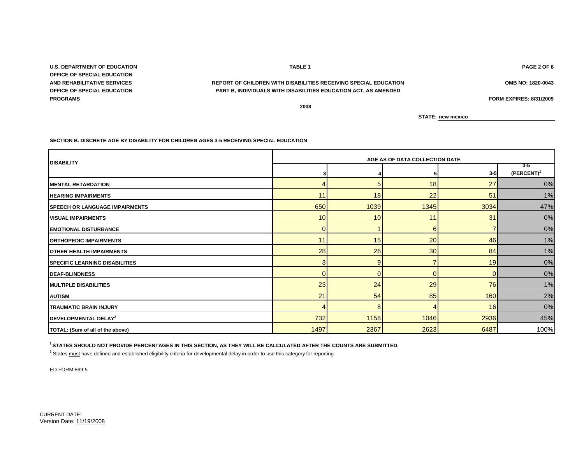CURRENT DATE: Version Date: 11/19/2008

**3 4 5 3-5 3-5 (PERCENT)<sup>1</sup>** 4 5 5 18 27 27 0% 11 18 18 22 51 31 32 650 1039 **1039 1345** 3034 47% 10 10 11 31 0% 0 1 6 7 0% 11 15 20 46 3% 1% 28 26 30 84 1% 3 9 7 19 0% 0 0 0 0 0% 23 24 29 76 1% 21 54 85 160 2% 4 8 4 16 0% 732 1158 1046 2936 45% **DEAF-BLINDNESS MULTIPLE DISABILITIES AUTISM TRAUMATIC BRAIN INJURY MENTAL RETARDATION DEVELOPMENTAL DELAY<sup>2</sup> OTHER HEALTH IMPAIRMENTS SPECIFIC LEARNING DISABILITIES ORTHOPEDIC IMPAIRMENTS HEARING IMPAIRMENTS SPEECH OR LANGUAGE IMPAIRMENTS VISUAL IMPAIRMENTS EMOTIONAL DISTURBANCE**

**DISABILITY AGE AS OF DATA COLLECTION DATE** 

**U.S. DEPARTMENT OF EDUCATION TABLE 1 PAGE 2 OF 8 OFFICE OF SPECIAL EDUCATION OFFICE OF SPECIAL EDUCATION PROGRAMS FORM EXPIRES: 8/31/2009**

**AND REHABILITATIVE SERVICES OMB NO: 1820-0043 REPORT OF CHILDREN WITH DISABILITIES RECEIVING SPECIAL EDUCATION PART B, INDIVIDUALS WITH DISABILITIES EDUCATION ACT, AS AMENDED**

**2008**

**STATE: new mexico**

1497 2367 2623 6487 100%

**<sup>1</sup>STATES SHOULD NOT PROVIDE PERCENTAGES IN THIS SECTION, AS THEY WILL BE CALCULATED AFTER THE COUNTS ARE SUBMITTED.**

<sup>2</sup> States must have defined and established eligibility criteria for developmental delay in order to use this category for reporting.

**SECTION B. DISCRETE AGE BY DISABILITY FOR CHILDREN AGES 3-5 RECEIVING SPECIAL EDUCATION**

ED FORM:869-5

**TOTAL: (Sum of all of the above)**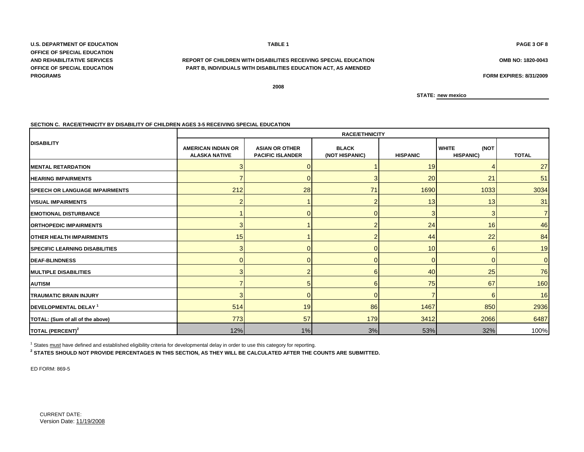**U.S. DEPARTMENT OF EDUCATION TABLE 1 PAGE 3 OF 8 OFFICE OF SPECIAL EDUCATION PROGRAMS**

### **AND REHABILITATIVE SERVICES REPORT OF CHILDREN WITH DISABILITIES RECEIVING SPECIAL EDUCATION OMB NO: 1820-0043 OFFICE OF SPECIAL EDUCATION PART B, INDIVIDUALS WITH DISABILITIES EDUCATION ACT, AS AMENDED**

**FORM EXPIRES: 8/31/2009**

**2008**

**STATE: new mexico**

#### **SECTION C. RACE/ETHNICITY BY DISABILITY OF CHILDREN AGES 3-5 RECEIVING SPECIAL EDUCATION**

|                                        | <b>RACE/ETHNICITY</b>                             |                                                  |                                |                 |                                          |                |  |  |
|----------------------------------------|---------------------------------------------------|--------------------------------------------------|--------------------------------|-----------------|------------------------------------------|----------------|--|--|
| <b>DISABILITY</b>                      | <b>AMERICAN INDIAN OR</b><br><b>ALASKA NATIVE</b> | <b>ASIAN OR OTHER</b><br><b>PACIFIC ISLANDER</b> | <b>BLACK</b><br>(NOT HISPANIC) | <b>HISPANIC</b> | <b>WHITE</b><br>(NOT<br><b>HISPANIC)</b> | <b>TOTAL</b>   |  |  |
| <b>IMENTAL RETARDATION</b>             | 3                                                 |                                                  |                                | 19              |                                          | 27             |  |  |
| <b>HEARING IMPAIRMENTS</b>             |                                                   | 0                                                |                                | 20              | 21                                       | 51             |  |  |
| <b>ISPEECH OR LANGUAGE IMPAIRMENTS</b> | 212                                               | 28                                               | 71                             | 1690            | 1033                                     | 3034           |  |  |
| <b>VISUAL IMPAIRMENTS</b>              | $\overline{2}$                                    |                                                  |                                | 13              | 13                                       | 31             |  |  |
| <b>EMOTIONAL DISTURBANCE</b>           |                                                   | 0                                                |                                | 3               | 3                                        | $\overline{7}$ |  |  |
| <b>ORTHOPEDIC IMPAIRMENTS</b>          | 3 <sup>1</sup>                                    |                                                  |                                | 24              | 16                                       | 46             |  |  |
| <b>OTHER HEALTH IMPAIRMENTS</b>        | 15                                                |                                                  |                                | 44              | 22                                       | 84             |  |  |
| <b>ISPECIFIC LEARNING DISABILITIES</b> | 3                                                 | 0                                                |                                | 10              | 6                                        | 19             |  |  |
| <b>DEAF-BLINDNESS</b>                  | $\overline{0}$                                    | 0                                                |                                | $\Omega$        | $\Omega$                                 | $\overline{0}$ |  |  |
| <b>MULTIPLE DISABILITIES</b>           | 3                                                 | $\overline{\phantom{a}}$                         |                                | 40              | 25                                       | 76             |  |  |
| <b>AUTISM</b>                          |                                                   | 5                                                |                                | 75              | 67                                       | 160            |  |  |
| <b>TRAUMATIC BRAIN INJURY</b>          | 3                                                 | $\Omega$                                         |                                |                 | 6                                        | 16             |  |  |
| DEVELOPMENTAL DELAY <sup>1</sup>       | 514                                               | 19                                               | 86                             | 1467            | 850                                      | 2936           |  |  |
| TOTAL: (Sum of all of the above)       | 773                                               | 57                                               | 179                            | 3412            | 2066                                     | 6487           |  |  |
| TOTAL (PERCENT) <sup>2</sup>           | 12%                                               | $1\%$                                            | 3%                             | 53%             | 32%                                      | 100%           |  |  |

<sup>1</sup> States must have defined and established eligibility criteria for developmental delay in order to use this category for reporting.

**2 STATES SHOULD NOT PROVIDE PERCENTAGES IN THIS SECTION, AS THEY WILL BE CALCULATED AFTER THE COUNTS ARE SUBMITTED.**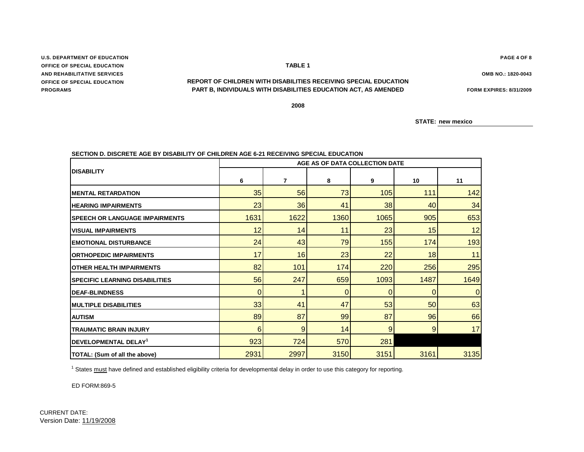# **SECTION D. DISCRETE AGE BY DISABILITY OF CHILDREN AGE 6-21 RECEIVING SPECIAL EDUCATION**

|                                       | AGE AS OF DATA COLLECTION DATE |                |             |      |      |      |  |  |
|---------------------------------------|--------------------------------|----------------|-------------|------|------|------|--|--|
| <b>DISABILITY</b>                     | 6                              | $\overline{7}$ | 8           | 9    | 10   | 11   |  |  |
| <b>MENTAL RETARDATION</b>             | 35                             | 56             | 73          | 105  | 111  | 142  |  |  |
| <b>HEARING IMPAIRMENTS</b>            | 23                             | 36             | 41          | 38   | 40   | 34   |  |  |
| <b>SPEECH OR LANGUAGE IMPAIRMENTS</b> | 1631                           | 1622           | 1360        | 1065 | 905  | 653  |  |  |
| <b>VISUAL IMPAIRMENTS</b>             | 12                             | 14             | 11          | 23   | 15   | 12   |  |  |
| <b>EMOTIONAL DISTURBANCE</b>          | 24                             | 43             | 79          | 155  | 174  | 193  |  |  |
| <b>ORTHOPEDIC IMPAIRMENTS</b>         | 17                             | 16             | 23          | 22   | 18   | 11   |  |  |
| <b>OTHER HEALTH IMPAIRMENTS</b>       | 82                             | 101            | 174         | 220  | 256  | 295  |  |  |
| <b>SPECIFIC LEARNING DISABILITIES</b> | 56                             | 247            | 659         | 1093 | 1487 | 1649 |  |  |
| <b>DEAF-BLINDNESS</b>                 | 0                              |                | $\mathbf 0$ | 0    | 0    | 0    |  |  |
| <b>MULTIPLE DISABILITIES</b>          | 33                             | 41             | 47          | 53   | 50   | 63   |  |  |
| <b>AUTISM</b>                         | 89                             | 87             | 99          | 87   | 96   | 66   |  |  |
| <b>TRAUMATIC BRAIN INJURY</b>         | 6                              | 9              | 14          | 9    | 9    | 17   |  |  |
| DEVELOPMENTAL DELAY <sup>1</sup>      | 923                            | 724            | 570         | 281  |      |      |  |  |
| TOTAL: (Sum of all the above)         | 2931                           | 2997           | 3150        | 3151 | 3161 | 3135 |  |  |

<sup>1</sup> States must have defined and established eligibility criteria for developmental delay in order to use this category for reporting.

ED FORM:869-5

**U.S. DEPARTMENT OF EDUCATION OFFICE OF SPECIAL EDUCATION AND REHABILITATIVE SERVICES OFFICE OF SPECIAL EDUCATION PROGRAMS**

**PART B, INDIVIDUALS WITH DISABILITIES EDUCATION ACT, AS AMENDED FORM EXPIRES: 8/31/2009 REPORT OF CHILDREN WITH DISABILITIES RECEIVING SPECIAL EDUCATION**

**2008**

**PAGE 4 OF 8**

**OMB NO.: 1820-0043**

**STATE: new mexico**

**TABLE 1**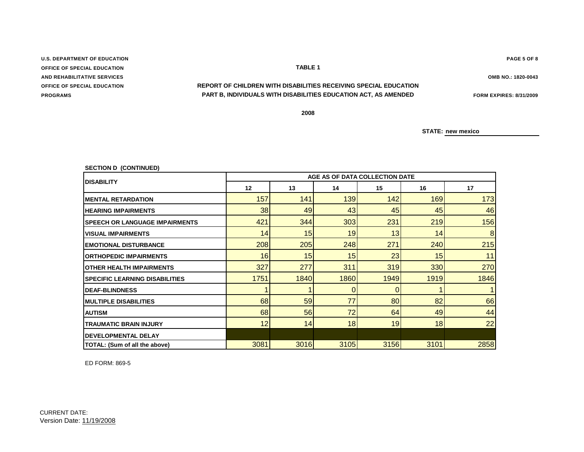# **U.S. DEPARTMENT OF EDUCATION PAGE 5 OF 8 OFFICE OF SPECIAL EDUCATION TABLE 1 PROGRAMS AND REHABILITATIVE SERVICES OMB NO.: 1820-0043**

## **PART B, INDIVIDUALS WITH DISABILITIES EDUCATION ACT, AS AMENDED FORM EXPIRES: 8/31/2009 OFFICE OF SPECIAL EDUCATION REPORT OF CHILDREN WITH DISABILITIES RECEIVING SPECIAL EDUCATION**

**2008**

**STATE: new mexico**

| <b>SECTION D (CONTINUED)</b>          |                                |      |      |      |      |      |  |  |  |
|---------------------------------------|--------------------------------|------|------|------|------|------|--|--|--|
| <b>DISABILITY</b>                     | AGE AS OF DATA COLLECTION DATE |      |      |      |      |      |  |  |  |
|                                       | 12                             | 13   | 14   | 15   | 16   | 17   |  |  |  |
| <b>MENTAL RETARDATION</b>             | 157                            | 141  | 139  | 142  | 169  | 173  |  |  |  |
| <b>HEARING IMPAIRMENTS</b>            | 38                             | 49   | 43   | 45   | 45   | 46   |  |  |  |
| <b>SPEECH OR LANGUAGE IMPAIRMENTS</b> | 421                            | 344  | 303  | 231  | 219  | 156  |  |  |  |
| <b>VISUAL IMPAIRMENTS</b>             | 14                             | 15   | 19   | 13   | 14   | 8    |  |  |  |
| <b>EMOTIONAL DISTURBANCE</b>          | 208                            | 205  | 248  | 271  | 240  | 215  |  |  |  |
| <b>ORTHOPEDIC IMPAIRMENTS</b>         | 16                             | 15   | 15   | 23   | 15   | 11   |  |  |  |
| <b>OTHER HEALTH IMPAIRMENTS</b>       | 327                            | 277  | 311  | 319  | 330  | 270  |  |  |  |
| <b>SPECIFIC LEARNING DISABILITIES</b> | 1751                           | 1840 | 1860 | 1949 | 1919 | 1846 |  |  |  |
| <b>DEAF-BLINDNESS</b>                 |                                |      | 0    | 0    |      |      |  |  |  |
| <b>MULTIPLE DISABILITIES</b>          | 68                             | 59   | 77   | 80   | 82   | 66   |  |  |  |
| <b>AUTISM</b>                         | 68                             | 56   | 72   | 64   | 49   | 44   |  |  |  |
| <b>TRAUMATIC BRAIN INJURY</b>         | 12                             | 14   | 18   | 19   | 18   | 22   |  |  |  |
| <b>DEVELOPMENTAL DELAY</b>            |                                |      |      |      |      |      |  |  |  |
| TOTAL: (Sum of all the above)         | 3081                           | 3016 | 3105 | 3156 | 3101 | 2858 |  |  |  |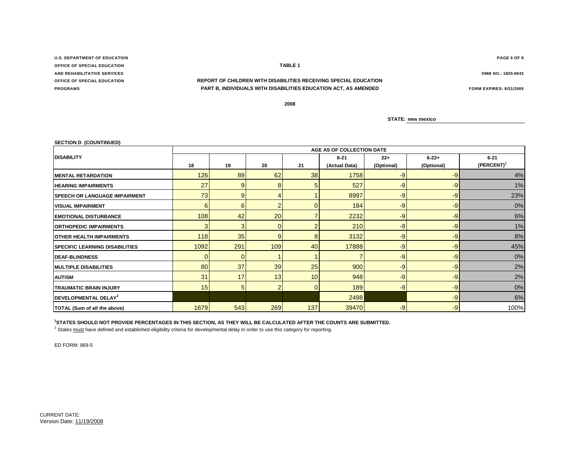**U.S. DEPARTMENT OF EDUCATION PAGE 6 OF 8 OFFICE OF SPECIAL EDUCATION TABLE 1 AND REHABILITATIVE SERVICES OMB NO.: 1820-0043**

### **OFFICE OF SPECIAL EDUCATION REPORT OF CHILDREN WITH DISABILITIES RECEIVING SPECIAL EDUCATION PROGRAMS PART B, INDIVIDUALS WITH DISABILITIES EDUCATION ACT, AS AMENDED FORM EXPIRES: 8/31/2009**

**2008**

**STATE: new mexico**

| <b>SECTION D (COUNTINUED)</b>         |                |                           |                |          |               |            |            |                        |  |  |
|---------------------------------------|----------------|---------------------------|----------------|----------|---------------|------------|------------|------------------------|--|--|
|                                       |                | AGE AS OF COLLECTION DATE |                |          |               |            |            |                        |  |  |
| <b>DISABILITY</b>                     |                |                           |                |          | $6 - 21$      | $22+$      | $6 - 22 +$ | $6 - 21$               |  |  |
|                                       | 18             | 19                        | 20             | 21       | (Actual Data) | (Optional) | (Optional) | (PERCENT) <sup>1</sup> |  |  |
| <b>MENTAL RETARDATION</b>             | 126            | 89                        | 62             | 38       | 1758          | -9         | $-9$       | 4%                     |  |  |
| <b>HEARING IMPAIRMENTS</b>            | 27             | 9                         | 8              |          | 527           | -9         | $-9$       | 1%                     |  |  |
| <b>SPEECH OR LANGUAGE IMPAIRMENT</b>  | 73             | 9                         |                |          | 8997          | -9         | $-9$       | 23%                    |  |  |
| <b>VISUAL IMPAIRMENT</b>              | 6              | 6                         |                |          | 184           | -9         | $-9$       | 0%                     |  |  |
| <b>EMOTIONAL DISTURBANCE</b>          | 108            | 42                        | 20             |          | 2232          | -9         | -9         | 6%                     |  |  |
| <b>ORTHOPEDIC IMPAIRMENTS</b>         | 3              | 3                         | ΩI             |          | 210           | $-9$       | $-9$       | 1%                     |  |  |
| <b>OTHER HEALTH IMPAIRMENTS</b>       | 118            | 35                        | $\overline{9}$ | R        | 3132          | $-9$       | $-9$       | 8%                     |  |  |
| <b>SPECIFIC LEARNING DISABILITIES</b> | 1092           | 291                       | 109            | 40       | 17888         | -9         | $-9$       | 45%                    |  |  |
| <b>DEAF-BLINDNESS</b>                 | $\overline{0}$ |                           |                |          |               | -9         | -9         | 0%                     |  |  |
| <b>MULTIPLE DISABILITIES</b>          | 80             | 37                        | 39             | 25       | 900           | -9         | $-9$       | 2%                     |  |  |
| <b>AUTISM</b>                         | 31             | 17                        | 13             | 10       | 948           | $-9$       | $-9$       | 2%                     |  |  |
| <b>TRAUMATIC BRAIN INJURY</b>         | 15             | 5 <sub>5</sub>            |                | $\Omega$ | 189           | $-9$       | $-9$       | 0%                     |  |  |
| DEVELOPMENTAL DELAY <sup>2</sup>      |                |                           |                |          | 2498          |            | $-9$       | 6%                     |  |  |
| TOTAL (Sum of all the above)          | 1679           | 543                       | 269            | 137      | 39470         | $-9$       | $-9$       | 100%                   |  |  |

#### **<sup>1</sup>STATES SHOULD NOT PROVIDE PERCENTAGES IN THIS SECTION, AS THEY WILL BE CALCULATED AFTER THE COUNTS ARE SUBMITTED.**

<sup>2</sup> States must have defined and established eligibility criteria for developmental delay in order to use this category for reporting.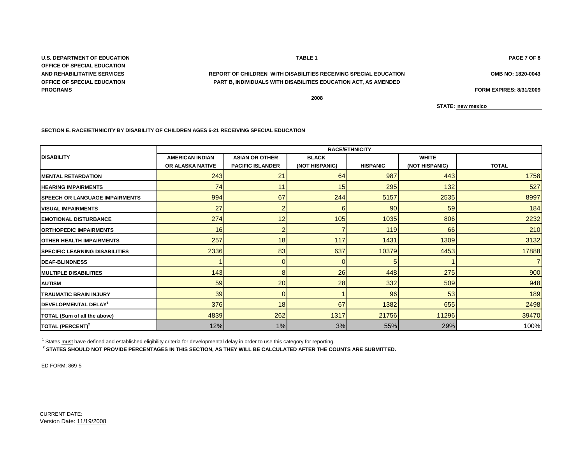**U.S. DEPARTMENT OF EDUCATION PAGE 7 OF 8 OFFICE OF SPECIAL EDUCATION OFFICE OF SPECIAL EDUCATION PROGRAMS FORM EXPIRES: 8/31/2009**

## **AND REHABILITATIVE SERVICES OMB NO: 1820-0043 REPORT OF CHILDREN WITH DISABILITIES RECEIVING SPECIAL EDUCATION PART B, INDIVIDUALS WITH DISABILITIES EDUCATION ACT, AS AMENDED**

**2008**

**STATE: new mexico**

**SECTION E. RACE/ETHNICITY BY DISABILITY OF CHILDREN AGES 6-21 RECEIVING SPECIAL EDUCATION**

|                                       | <b>RACE/ETHNICITY</b>  |                         |                |                 |                |                |  |
|---------------------------------------|------------------------|-------------------------|----------------|-----------------|----------------|----------------|--|
| <b>DISABILITY</b>                     | <b>AMERICAN INDIAN</b> | <b>ASIAN OR OTHER</b>   | <b>BLACK</b>   |                 | <b>WHITE</b>   |                |  |
|                                       | OR ALASKA NATIVE       | <b>PACIFIC ISLANDER</b> | (NOT HISPANIC) | <b>HISPANIC</b> | (NOT HISPANIC) | <b>TOTAL</b>   |  |
| <b>MENTAL RETARDATION</b>             | 243                    | 21                      | 64             | 987             | 443            | 1758           |  |
| <b>HEARING IMPAIRMENTS</b>            | 74                     | 11                      | 15             | 295             | 132            | 527            |  |
| <b>SPEECH OR LANGUAGE IMPAIRMENTS</b> | 994                    | 67                      | 244            | 5157            | 2535           | 8997           |  |
| <b>VISUAL IMPAIRMENTS</b>             | 27                     |                         | 6              | 90              | 59             | 184            |  |
| <b>IEMOTIONAL DISTURBANCE</b>         | 274                    | 12                      | 105            | 1035            | 806            | 2232           |  |
| <b>ORTHOPEDIC IMPAIRMENTS</b>         | 16                     | $\overline{2}$          |                | 119             | 66             | 210            |  |
| <b>OTHER HEALTH IMPAIRMENTS</b>       | 257                    | 18                      | 117            | 1431            | 1309           | 3132           |  |
| <b>SPECIFIC LEARNING DISABILITIES</b> | 2336                   | 83                      | 637            | 10379           | 4453           | 17888          |  |
| <b>DEAF-BLINDNESS</b>                 |                        | $\Omega$                | O              |                 |                | $\overline{7}$ |  |
| <b>IMULTIPLE DISABILITIES</b>         | 143                    | 8                       | 26             | 448             | 275            | 900            |  |
| <b>AUTISM</b>                         | 59                     | 20                      | 28             | 332             | 509            | 948            |  |
| <b>TRAUMATIC BRAIN INJURY</b>         | 39                     |                         |                | 96              | 53             | 189            |  |
| DEVELOPMENTAL DELAY <sup>1</sup>      | 376                    | 18                      | 67             | 1382            | 655            | 2498           |  |
| TOTAL (Sum of all the above)          | 4839                   | 262                     | 1317           | 21756           | 11296          | 39470          |  |
| TOTAL (PERCENT) <sup>2</sup>          | 12%                    | 1%                      | 3%             | 55%             | 29%            | 100%           |  |

 $1$  States  $\frac{must}{t}$  have defined and established eligibility criteria for developmental delay in order to use this category for reporting.

**2 STATES SHOULD NOT PROVIDE PERCENTAGES IN THIS SECTION, AS THEY WILL BE CALCULATED AFTER THE COUNTS ARE SUBMITTED.**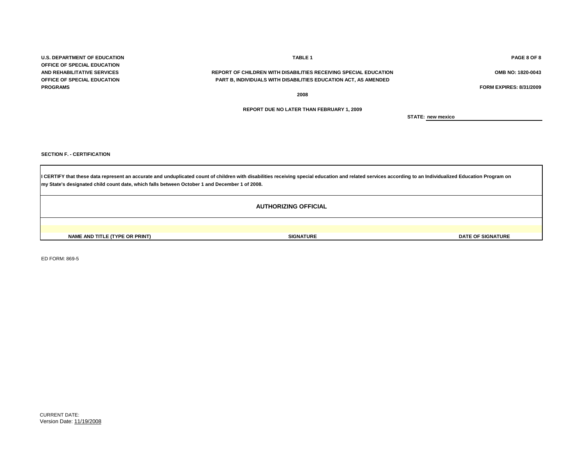**U.S. DEPARTMENT OF EDUCATION TABLE 1 PAGE 8 OF 8 OFFICE OF SPECIAL EDUCATION PROGRAMS FORM EXPIRES: 8/31/2009**

### **AND REHABILITATIVE SERVICES REPORT OF CHILDREN WITH DISABILITIES RECEIVING SPECIAL EDUCATION OMB NO: 1820-0043 OFFICE OF SPECIAL EDUCATION PART B, INDIVIDUALS WITH DISABILITIES EDUCATION ACT, AS AMENDED**

**2008**

**REPORT DUE NO LATER THAN FEBRUARY 1, 2009**

**STATE: new mexico**

**SECTION F. - CERTIFICATION**

ED FORM: 869-5

**my State's designated child count date, which falls between October 1 and December 1 of 2008.** I CERTIFY that these data represent an accurate and unduplicated count of children with disabilities receiving special education and related services according to an Individualized Education Program on

**AUTHORIZING OFFICIAL**

**NAME AND TITLE (TYPE OR PRINT) SIGNATURE DATE OF SIGNATURE**